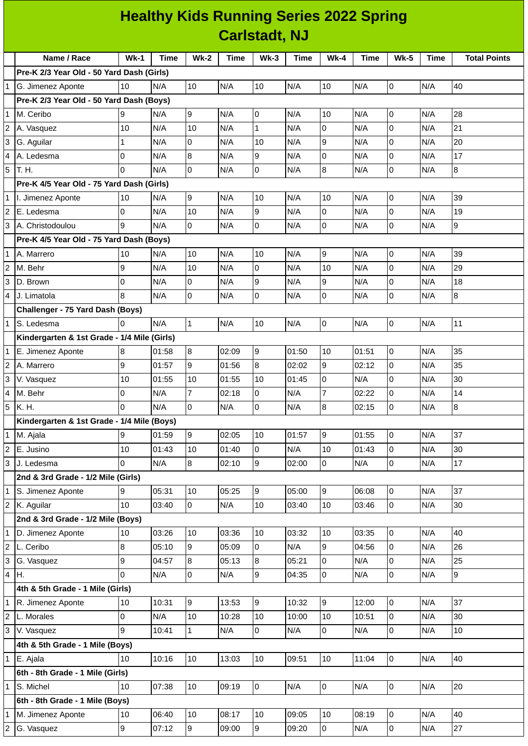|                | <b>Healthy Kids Running Series 2022 Spring</b><br><b>Carlstadt, NJ</b> |              |             |                |                |                |             |                  |             |                     |             |                     |
|----------------|------------------------------------------------------------------------|--------------|-------------|----------------|----------------|----------------|-------------|------------------|-------------|---------------------|-------------|---------------------|
|                |                                                                        |              |             |                |                |                |             |                  |             |                     |             |                     |
|                | Name / Race                                                            | $Wk-1$       | <b>Time</b> | <b>Wk-2</b>    | <b>Time</b>    | $Wk-3$         | <b>Time</b> | $Wk-4$           | <b>Time</b> | $Wk-5$              | <b>Time</b> | <b>Total Points</b> |
|                | Pre-K 2/3 Year Old - 50 Yard Dash (Girls)                              |              |             |                |                |                |             |                  |             |                     |             |                     |
| $\mathbf{1}$   | G. Jimenez Aponte                                                      | 10           | N/A         | 10             | N/A            | 10             | N/A         | 10               | N/A         | 0                   | N/A         | 40                  |
|                | Pre-K 2/3 Year Old - 50 Yard Dash (Boys)                               |              |             |                |                |                |             |                  |             |                     |             |                     |
| 1              | M. Ceribo                                                              | 9            | N/A         | 9              | N/A            | l0             | N/A         | 10               | N/A         | $\mathsf{O}$        | N/A         | 28                  |
| $\overline{c}$ | A. Vasquez                                                             | 10           | N/A         | 10             | N/A            | $\mathbf{1}$   | N/A         | 0                | N/A         | 0                   | N/A         | 21                  |
| 3              | G. Aguilar                                                             | $\mathbf{1}$ | N/A         | 0              | N/A            | 10             | N/A         | 9                | N/A         | $\overline{0}$      | N/A         | 20                  |
| 4              | A. Ledesma                                                             | O            | N/A         | 8              | N/A            | 9              | N/A         | 0                | N/A         | $\overline{0}$      | N/A         | 17                  |
| 5              | T. H.                                                                  | l0           | N/A         | Iо             | N/A            | $\overline{0}$ | N/A         | 8                | N/A         | 0                   | N/A         | 8                   |
|                | Pre-K 4/5 Year Old - 75 Yard Dash (Girls)                              |              |             |                |                |                |             |                  |             |                     |             |                     |
| $\mathbf{1}$   | I. Jimenez Aponte                                                      | 10           | N/A         | g              | N/A            | 10             | N/A         | 10               | N/A         | 0                   | N/A         | 39                  |
| $\overline{c}$ | E. Ledesma                                                             | O            | N/A         | 10             | N/A            | 9              | N/A         | 0                | N/A         | 0                   | N/A         | 19                  |
| 3              | A. Christodoulou                                                       | 9            | N/A         | l0             | N/A            | $\mathsf 0$    | N/A         | $\overline{0}$   | N/A         | 0                   | N/A         | 9                   |
|                | Pre-K 4/5 Year Old - 75 Yard Dash (Boys)                               |              |             |                |                |                |             |                  |             |                     |             |                     |
|                | A. Marrero                                                             | 10           | N/A         | 10             | N/A            | 10             | N/A         | 9                | N/A         | $\mathsf{O}$        | N/A         | 39                  |
| $\overline{c}$ | M. Behr                                                                | 9            | N/A         | 10             | N/A            | $\overline{0}$ | N/A         | 10               | N/A         | 0                   | N/A         | 29                  |
| 3              | D. Brown                                                               | Iо           | N/A         | O              | N/A            | 9              | N/A         | 9                | N/A         | 0                   | N/A         | 18                  |
| 4              | J. Limatola                                                            | 8            | N/A         | O              | N/A            | 0              | N/A         | O                | N/A         | $\overline{0}$      | N/A         | 8                   |
|                | Challenger - 75 Yard Dash (Boys)                                       |              |             |                |                |                |             |                  |             |                     |             |                     |
| $\mathbf{1}$   | S. Ledesma                                                             | I0           | N/A         | 1              | N/A            | 10             | N/A         | 0                | N/A         | $\overline{0}$      | N/A         | 11                  |
|                | Kindergarten & 1st Grade - 1/4 Mile (Girls)                            |              |             |                |                |                |             |                  |             |                     |             |                     |
| 1              | E. Jimenez Aponte                                                      | 8            | 01:58       | 8              | 02:09          | 9              | 01:50       | 10               | 01:51       | 0                   | N/A         | 35                  |
| 2              | A. Marrero                                                             | 9            | 01:57       | 9              | 01:56          | 8              | 02:02       | 9                | 02:12       | $\mathsf{O}$        | N/A         | 35                  |
| 3              |                                                                        | 10           | 01:55       | 10             | 01:55          | 10             | 01:45       | 0                | N/A         | 0                   | N/A         | 30                  |
| 4              | V. Vasquez<br>M. Behr                                                  | Iо           | N/A         | $\overline{7}$ | 02:18          | 0              | N/A         | $\overline{7}$   | 02:22       | 0                   | N/A         | 14                  |
| 5              | K. H.                                                                  | Iо           | N/A         | l0             | N/A            | 0              | N/A         | $\boldsymbol{8}$ | 02:15       | $\overline{0}$      | N/A         | 8                   |
|                | Kindergarten & 1st Grade - 1/4 Mile (Boys)                             |              |             |                |                |                |             |                  |             |                     |             |                     |
|                | M. Ajala                                                               | 9            | 01:59       | 9              | 02:05          | 10             | 01:57       | 9                | 01:55       | $\mathsf{O}$        | N/A         | 37                  |
|                | E. Jusino                                                              | 10           | 01:43       | 10             |                | 0              | N/A         | 10               | 01:43       |                     | N/A         | 30                  |
| 2<br>3         | J. Ledesma                                                             | l0           |             | 8              | 01:40<br>02:10 | 9              | 02:00       | $\overline{0}$   | N/A         | 0<br>$\mathsf 0$    |             | 17                  |
|                |                                                                        |              | N/A         |                |                |                |             |                  |             |                     | N/A         |                     |
|                | 2nd & 3rd Grade - 1/2 Mile (Girls)                                     |              | 05:31       | 10             | 05:25          | 9              | 05:00       | 9                | 06:08       | $\mathsf 0$         | N/A         | 37                  |
| 1              | S. Jimenez Aponte                                                      | Ι9<br>10     |             | lo.            |                | 10             |             |                  | 03:46       | $\overline{0}$      | N/A         | 30                  |
| $\overline{c}$ | K. Aguilar                                                             |              | 03:40       |                | N/A            |                | 03:40       | 10               |             |                     |             |                     |
|                | 2nd & 3rd Grade - 1/2 Mile (Boys)                                      |              |             |                |                |                |             |                  |             |                     |             |                     |
| 1              | D. Jimenez Aponte                                                      | 10           | 03:26       | 10             | 03:36          | 10             | 03:32       | 10               | 03:35       | $\mathsf 0$         | N/A         | 40                  |
| $\overline{c}$ | L. Ceribo                                                              | 8            | 05:10       | 9              | 05:09          | $\overline{0}$ | N/A         | 9                | 04:56       | $\overline{0}$      | N/A         | 26                  |
| 3              | G. Vasquez                                                             | 9            | 04:57       | 8              | 05:13          | $\, 8$         | 05:21       | $\boldsymbol{0}$ | N/A         | 0                   | N/A         | 25                  |
| 4              | H.                                                                     | l0           | N/A         | l0             | N/A            | 9              | 04:35       | 0                | N/A         | $\overline{0}$      | N/A         | 9                   |
|                | 4th & 5th Grade - 1 Mile (Girls)                                       |              |             |                |                |                |             |                  |             |                     |             |                     |
|                | R. Jimenez Aponte                                                      | 10           | 10:31       | 9              | 13:53          | 9              | 10:32       | 9                | 12:00       | $\mathsf{O}$        | N/A         | 37                  |
| $\overline{c}$ | L. Morales                                                             | Iо           | N/A         | 10             | 10:28          | 10             | 10:00       | 10               | 10:51       | 0                   | N/A         | 30                  |
| 3              | V. Vasquez                                                             | 9            | 10:41       | $\mathbf{1}$   | N/A            | 0              | N/A         | $\mathsf 0$      | N/A         | 0                   | N/A         | 10                  |
|                | 4th & 5th Grade - 1 Mile (Boys)                                        |              |             |                |                |                |             |                  |             |                     |             |                     |
| 1              | E. Ajala                                                               | 10           | 10:16       | 10             | 13:03          | 10             | 09:51       | 10               | 11:04       | $\mathsf 0$         | N/A         | 40                  |
|                | 6th - 8th Grade - 1 Mile (Girls)                                       |              |             |                |                |                |             |                  |             |                     |             |                     |
| $\mathbf{1}$   | S. Michel                                                              | 10           | 07:38       | 10             | 09:19          | l0             | N/A         | $\overline{0}$   | N/A         | $\mathsf{O}\xspace$ | N/A         | 20                  |
|                | 6th - 8th Grade - 1 Mile (Boys)                                        |              |             |                |                |                |             |                  |             |                     |             |                     |
|                | M. Jimenez Aponte                                                      | 10           | 06:40       | 10             | 08:17          | 10             | 09:05       | 10               | 08:19       | 0                   | N/A         | 40                  |
|                | 2 G. Vasquez                                                           | 9            | 07:12       | 9              | 09:00          | 9              | 09:20       | $\boldsymbol{0}$ | N/A         | 0                   | N/A         | 27                  |